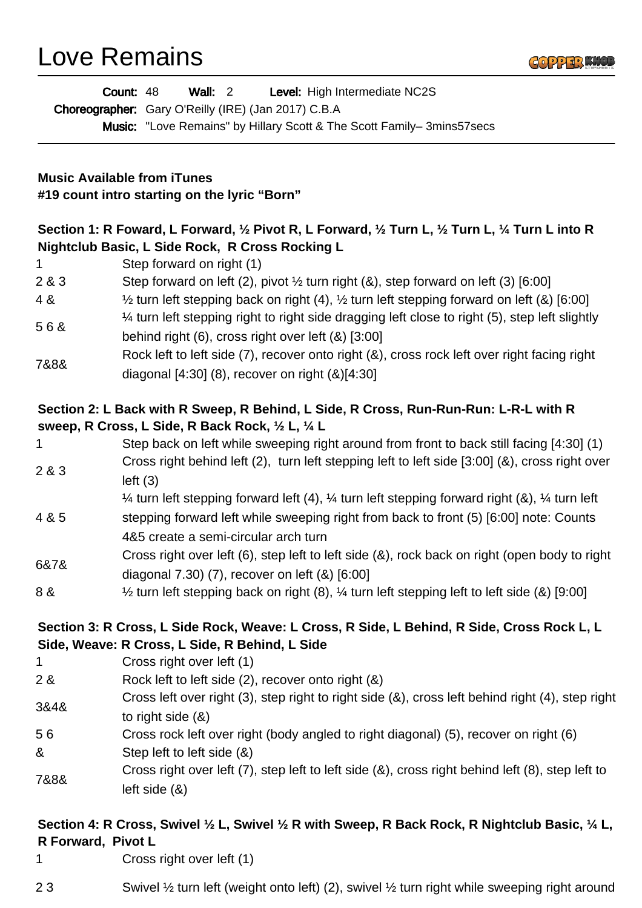Love Remains



|                                                                                                                                                                                              | <b>Wall: 2</b><br>Level: High Intermediate NC2S<br><b>Count: 48</b>                                                                                   |  |  |  |
|----------------------------------------------------------------------------------------------------------------------------------------------------------------------------------------------|-------------------------------------------------------------------------------------------------------------------------------------------------------|--|--|--|
|                                                                                                                                                                                              | Choreographer: Gary O'Reilly (IRE) (Jan 2017) C.B.A<br>Music: "Love Remains" by Hillary Scott & The Scott Family-3mins57secs                          |  |  |  |
|                                                                                                                                                                                              |                                                                                                                                                       |  |  |  |
|                                                                                                                                                                                              |                                                                                                                                                       |  |  |  |
| <b>Music Available from iTunes</b><br>#19 count intro starting on the lyric "Born"                                                                                                           |                                                                                                                                                       |  |  |  |
| Section 1: R Foward, L Forward, $\frac{1}{2}$ Pivot R, L Forward, $\frac{1}{2}$ Turn L, $\frac{1}{2}$ Turn L, $\frac{1}{4}$ Turn L into R<br>Nightclub Basic, L Side Rock, R Cross Rocking L |                                                                                                                                                       |  |  |  |
| 1.                                                                                                                                                                                           | Step forward on right (1)                                                                                                                             |  |  |  |
| 2 & 3                                                                                                                                                                                        | Step forward on left (2), pivot $\frac{1}{2}$ turn right (&), step forward on left (3) [6:00]                                                         |  |  |  |
| 4 &                                                                                                                                                                                          | $\frac{1}{2}$ turn left stepping back on right (4), $\frac{1}{2}$ turn left stepping forward on left (&) [6:00]                                       |  |  |  |
| 56&                                                                                                                                                                                          | 1⁄4 turn left stepping right to right side dragging left close to right (5), step left slightly<br>behind right (6), cross right over left (&) [3:00] |  |  |  |
| 7&8&                                                                                                                                                                                         | Rock left to left side (7), recover onto right (&), cross rock left over right facing right<br>diagonal $[4:30]$ (8), recover on right $(8)[4:30]$    |  |  |  |
| Section 2: L Back with R Sweep, R Behind, L Side, R Cross, Run-Run-Run: L-R-L with R<br>sweep, R Cross, L Side, R Back Rock, 1/2 L, 1/4 L                                                    |                                                                                                                                                       |  |  |  |
| 1                                                                                                                                                                                            | Step back on left while sweeping right around from front to back still facing [4:30] (1)                                                              |  |  |  |
| 2 & 3                                                                                                                                                                                        | Cross right behind left (2), turn left stepping left to left side [3:00] (&), cross right over<br>left( 3)                                            |  |  |  |
|                                                                                                                                                                                              | 1⁄4 turn left stepping forward left (4), 1⁄4 turn left stepping forward right (&), 1⁄4 turn left                                                      |  |  |  |
| 4 & 5                                                                                                                                                                                        | stepping forward left while sweeping right from back to front (5) [6:00] note: Counts                                                                 |  |  |  |
|                                                                                                                                                                                              | 4&5 create a semi-circular arch turn                                                                                                                  |  |  |  |
| 6&7&                                                                                                                                                                                         | Cross right over left (6), step left to left side (&), rock back on right (open body to right<br>diagonal $7.30$ (7), recover on left $(8)$ [6:00]    |  |  |  |
| 8 &                                                                                                                                                                                          | $\frac{1}{2}$ turn left stepping back on right (8), $\frac{1}{4}$ turn left stepping left to left side (&) [9:00]                                     |  |  |  |
| Section 3: R Cross, L Side Rock, Weave: L Cross, R Side, L Behind, R Side, Cross Rock L, L<br>Side, Weave: R Cross, L Side, R Behind, L Side                                                 |                                                                                                                                                       |  |  |  |
| 1                                                                                                                                                                                            | Cross right over left (1)                                                                                                                             |  |  |  |
| 2 &                                                                                                                                                                                          | Rock left to left side (2), recover onto right (&)                                                                                                    |  |  |  |
| 3&4&                                                                                                                                                                                         | Cross left over right (3), step right to right side (&), cross left behind right (4), step right<br>to right side $(8)$                               |  |  |  |
| 56                                                                                                                                                                                           | Cross rock left over right (body angled to right diagonal) (5), recover on right (6)                                                                  |  |  |  |
| &                                                                                                                                                                                            | Step left to left side (&)                                                                                                                            |  |  |  |
| 7&8&                                                                                                                                                                                         | Cross right over left (7), step left to left side (&), cross right behind left (8), step left to<br>left side $(8)$                                   |  |  |  |
|                                                                                                                                                                                              |                                                                                                                                                       |  |  |  |

## **Section 4: R Cross, Swivel ½ L, Swivel ½ R with Sweep, R Back Rock, R Nightclub Basic, ¼ L, R Forward, Pivot L**

1 Cross right over left (1)

| 23<br>Swivel 1/2 turn left (weight onto left) (2), swivel 1/2 turn right while sweeping right around |
|------------------------------------------------------------------------------------------------------|
|------------------------------------------------------------------------------------------------------|